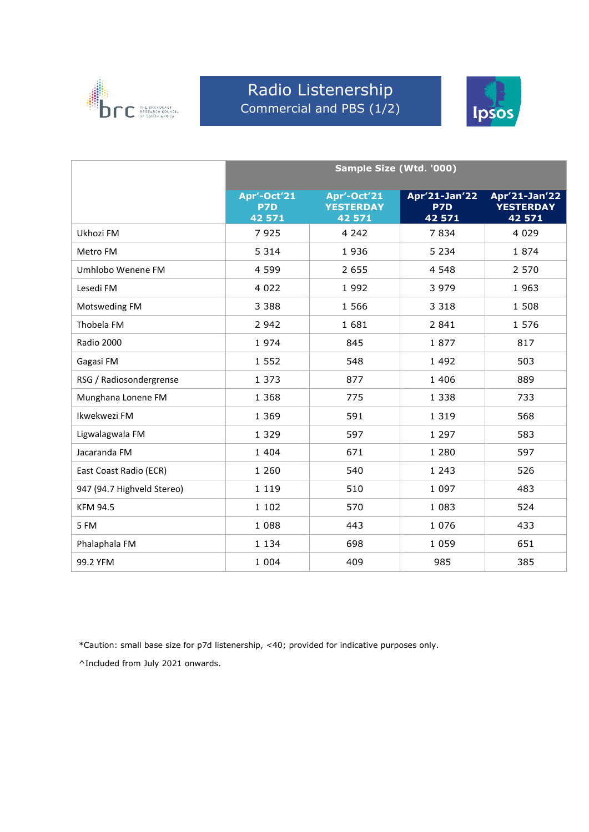

### Radio Listenership Commercial and PBS (1/2)



|                            | Sample Size (Wtd. '000)             |                                           |                                |                                             |  |
|----------------------------|-------------------------------------|-------------------------------------------|--------------------------------|---------------------------------------------|--|
|                            | Apr'-Oct'21<br><b>P7D</b><br>42 571 | Apr'-Oct'21<br><b>YESTERDAY</b><br>42 571 | Apr'21-Jan'22<br>P7D<br>42 571 | Apr'21-Jan'22<br><b>YESTERDAY</b><br>42 571 |  |
| Ukhozi FM                  | 7925                                | 4 2 4 2                                   | 7834                           | 4 0 2 9                                     |  |
| Metro FM                   | 5 3 1 4                             | 1936                                      | 5 2 3 4                        | 1874                                        |  |
| Umhlobo Wenene FM          | 4 5 9 9                             | 2 6 5 5                                   | 4 5 4 8                        | 2 5 7 0                                     |  |
| Lesedi FM                  | 4 0 2 2                             | 1 9 9 2                                   | 3 9 7 9                        | 1963                                        |  |
| Motsweding FM              | 3 3 8 8                             | 1 5 6 6                                   | 3 3 1 8                        | 1 508                                       |  |
| Thobela FM                 | 2 9 4 2                             | 1681                                      | 2 8 4 1                        | 1 5 7 6                                     |  |
| Radio 2000                 | 1974                                | 845                                       | 1877                           | 817                                         |  |
| Gagasi FM                  | 1 5 5 2                             | 548                                       | 1 4 9 2                        | 503                                         |  |
| RSG / Radiosondergrense    | 1 3 7 3                             | 877                                       | 1 4 0 6                        | 889                                         |  |
| Munghana Lonene FM         | 1 3 6 8                             | 775                                       | 1 3 3 8                        | 733                                         |  |
| Ikwekwezi FM               | 1 3 6 9                             | 591                                       | 1 3 1 9                        | 568                                         |  |
| Ligwalagwala FM            | 1 3 2 9                             | 597                                       | 1 2 9 7                        | 583                                         |  |
| Jacaranda FM               | 1 4 0 4                             | 671                                       | 1 2 8 0                        | 597                                         |  |
| East Coast Radio (ECR)     | 1 2 6 0                             | 540                                       | 1 2 4 3                        | 526                                         |  |
| 947 (94.7 Highveld Stereo) | 1 1 1 9                             | 510                                       | 1 0 9 7                        | 483                                         |  |
| <b>KFM 94.5</b>            | 1 1 0 2                             | 570                                       | 1 0 8 3                        | 524                                         |  |
| 5 FM                       | 1 0 8 8                             | 443                                       | 1 0 7 6                        | 433                                         |  |
| Phalaphala FM              | 1 1 3 4                             | 698                                       | 1 0 5 9                        | 651                                         |  |
| 99.2 YFM                   | 1 0 0 4                             | 409                                       | 985                            | 385                                         |  |

\*Caution: small base size for p7d listenership, <40; provided for indicative purposes only.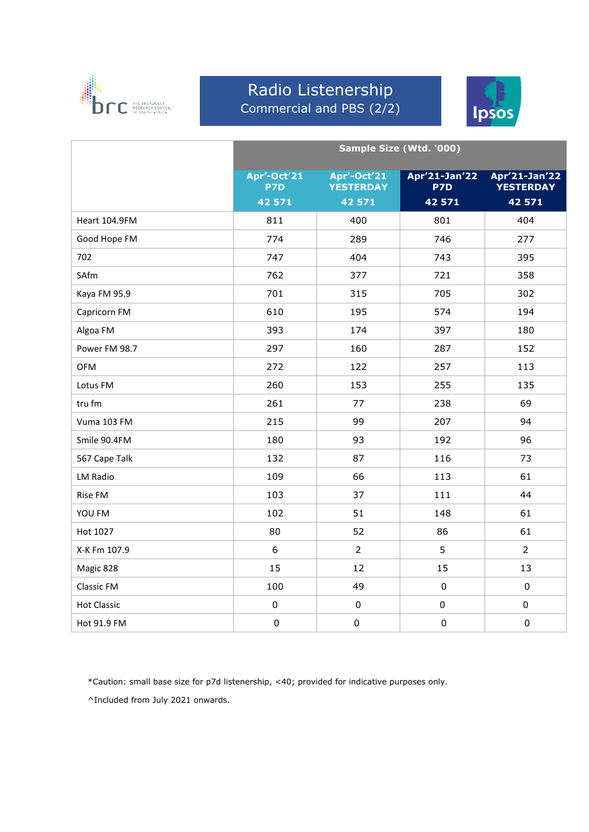

#### Radio Listenership Commercial and PBS (2/2)



|                    |                    |                                 | Sample Size (Wtd. '000) |                                   |
|--------------------|--------------------|---------------------------------|-------------------------|-----------------------------------|
|                    | Apr'-Oct'21<br>P7D | Apr'-Oct'21<br><b>YESTERDAY</b> | Apr'21-Jan'22<br>P7D    | Apr'21-Jan'22<br><b>YESTERDAY</b> |
|                    | 42 571             | 42 571                          | 42 571                  | 42 571                            |
| Heart 104.9FM      | 811                | 400                             | 801                     | 404                               |
| Good Hope FM       | 774                | 289                             | 746                     | 277                               |
| 702                | 747                | 404                             | 743                     | 395                               |
| SAfm               | 762                | 377                             | 721                     | 358                               |
| Kaya FM 95.9       | 701                | 315                             | 705                     | 302                               |
| Capricorn FM       | 610                | 195                             | 574                     | 194                               |
| Algoa FM           | 393                | 174                             | 397                     | 180                               |
| Power FM 98.7      | 297                | 160                             | 287                     | 152                               |
| <b>OFM</b>         | 272                | 122                             | 257                     | 113                               |
| Lotus FM           | 260                | 153                             | 255                     | 135                               |
| tru fm             | 261                | 77                              | 238                     | 69                                |
| Vuma 103 FM        | 215                | 99                              | 207                     | 94                                |
| Smile 90.4FM       | 180                | 93                              | 192                     | 96                                |
| 567 Cape Talk      | 132                | 87                              | 116                     | 73                                |
| LM Radio           | 109                | 66                              | 113                     | 61                                |
| Rise FM            | 103                | 37                              | 111                     | 44                                |
| YOU FM             | 102                | 51                              | 148                     | 61                                |
| Hot 1027           | 80                 | 52                              | 86                      | 61                                |
| X-K Fm 107.9       | 6                  | $\overline{2}$                  | 5                       | $\overline{2}$                    |
| Magic 828          | 15                 | 12                              | 15                      | 13                                |
| <b>Classic FM</b>  | 100                | 49                              | $\pmb{0}$               | $\mathbf 0$                       |
| <b>Hot Classic</b> | $\pmb{0}$          | $\mathbf 0$                     | $\pmb{0}$               | $\mathbf 0$                       |
| Hot 91.9 FM        | $\pmb{0}$          | 0                               | $\pmb{0}$               | $\pmb{0}$                         |

\*Caution: small base size for p7d listenership, <40; provided for indicative purposes only.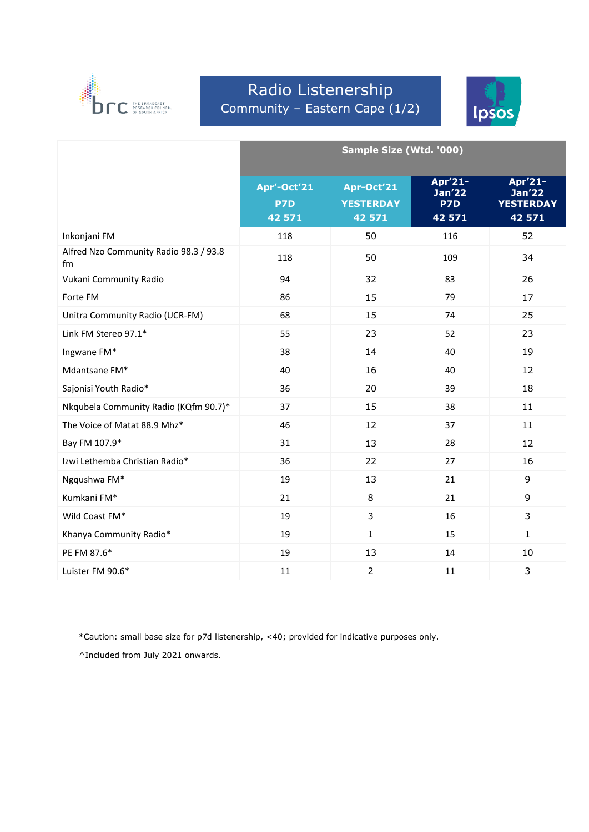

# Radio Listenership Community – Eastern Cape (1/2)



|                                              | Sample Size (Wtd. '000)      |                                          |                                    |                                                        |
|----------------------------------------------|------------------------------|------------------------------------------|------------------------------------|--------------------------------------------------------|
|                                              | Apr'-Oct'21<br>P7D<br>42 571 | Apr-Oct'21<br><b>YESTERDAY</b><br>42 571 | Apr'21-<br>Jan'22<br>P7D<br>42 571 | Apr'21-<br><b>Jan'22</b><br><b>YESTERDAY</b><br>42 571 |
| Inkonjani FM                                 | 118                          | 50                                       | 116                                | 52                                                     |
| Alfred Nzo Community Radio 98.3 / 93.8<br>fm | 118                          | 50                                       | 109                                | 34                                                     |
| Vukani Community Radio                       | 94                           | 32                                       | 83                                 | 26                                                     |
| Forte FM                                     | 86                           | 15                                       | 79                                 | 17                                                     |
| Unitra Community Radio (UCR-FM)              | 68                           | 15                                       | 74                                 | 25                                                     |
| Link FM Stereo 97.1*                         | 55                           | 23                                       | 52                                 | 23                                                     |
| Ingwane FM*                                  | 38                           | 14                                       | 40                                 | 19                                                     |
| Mdantsane FM*                                | 40                           | 16                                       | 40                                 | 12                                                     |
| Sajonisi Youth Radio*                        | 36                           | 20                                       | 39                                 | 18                                                     |
| Nkqubela Community Radio (KQfm 90.7)*        | 37                           | 15                                       | 38                                 | 11                                                     |
| The Voice of Matat 88.9 Mhz*                 | 46                           | 12                                       | 37                                 | 11                                                     |
| Bay FM 107.9*                                | 31                           | 13                                       | 28                                 | 12                                                     |
| Izwi Lethemba Christian Radio*               | 36                           | 22                                       | 27                                 | 16                                                     |
| Ngqushwa FM*                                 | 19                           | 13                                       | 21                                 | 9                                                      |
| Kumkani FM*                                  | 21                           | 8                                        | 21                                 | 9                                                      |
| Wild Coast FM*                               | 19                           | 3                                        | 16                                 | 3                                                      |
| Khanya Community Radio*                      | 19                           | $\mathbf{1}$                             | 15                                 | $\mathbf{1}$                                           |
| PE FM 87.6*                                  | 19                           | 13                                       | 14                                 | 10                                                     |
| Luister FM 90.6*                             | 11                           | $\overline{2}$                           | 11                                 | 3                                                      |

\*Caution: small base size for p7d listenership, <40; provided for indicative purposes only.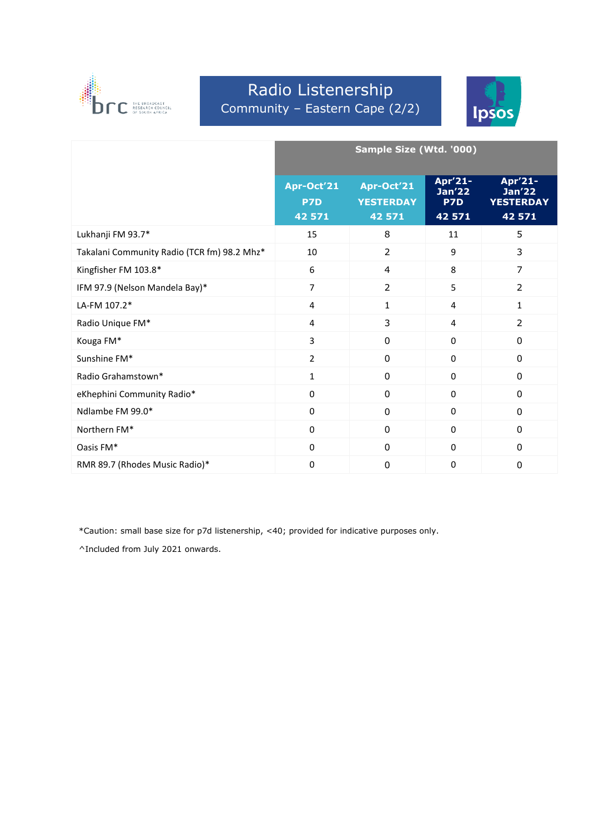

### Radio Listenership Community – Eastern Cape (2/2)



|                                             | Sample Size (Wtd. '000)     |                                          |                                           |                                                        |
|---------------------------------------------|-----------------------------|------------------------------------------|-------------------------------------------|--------------------------------------------------------|
|                                             | Apr-Oct'21<br>P7D<br>42 571 | Apr-Oct'21<br><b>YESTERDAY</b><br>42 571 | Apr'21-<br><b>Jan'22</b><br>P7D<br>42 571 | Apr'21-<br><b>Jan'22</b><br><b>YESTERDAY</b><br>42 571 |
| Lukhanji FM 93.7*                           | 15                          | 8                                        | 11                                        | 5                                                      |
| Takalani Community Radio (TCR fm) 98.2 Mhz* | 10                          | $\overline{2}$                           | 9                                         | 3                                                      |
| Kingfisher FM 103.8*                        | 6                           | $\overline{4}$                           | 8                                         | $\overline{7}$                                         |
| IFM 97.9 (Nelson Mandela Bay)*              | $\overline{7}$              | $\overline{2}$                           | 5                                         | $\overline{2}$                                         |
| LA-FM 107.2*                                | 4                           | $\mathbf{1}$                             | $\overline{4}$                            | $\mathbf{1}$                                           |
| Radio Unique FM*                            | 4                           | 3                                        | 4                                         | $\overline{2}$                                         |
| Kouga FM*                                   | 3                           | $\mathbf{0}$                             | 0                                         | $\mathbf{0}$                                           |
| Sunshine FM*                                | $\overline{2}$              | $\mathbf{0}$                             | $\Omega$                                  | $\mathbf{0}$                                           |
| Radio Grahamstown*                          | $\mathbf{1}$                | $\mathbf{0}$                             | $\mathbf{0}$                              | $\mathbf{0}$                                           |
| eKhephini Community Radio*                  | 0                           | $\mathbf 0$                              | $\mathbf{0}$                              | $\mathbf 0$                                            |
| Ndlambe FM 99.0*                            | 0                           | $\mathbf 0$                              | $\mathbf{0}$                              | $\mathbf 0$                                            |
| Northern FM*                                | 0                           | $\mathbf 0$                              | $\mathbf{0}$                              | $\mathbf 0$                                            |
| Oasis FM*                                   | 0                           | $\mathbf{0}$                             | $\Omega$                                  | $\mathbf{0}$                                           |
| RMR 89.7 (Rhodes Music Radio)*              | 0                           | $\mathbf 0$                              | $\mathbf 0$                               | $\mathbf 0$                                            |

\*Caution: small base size for p7d listenership, <40; provided for indicative purposes only.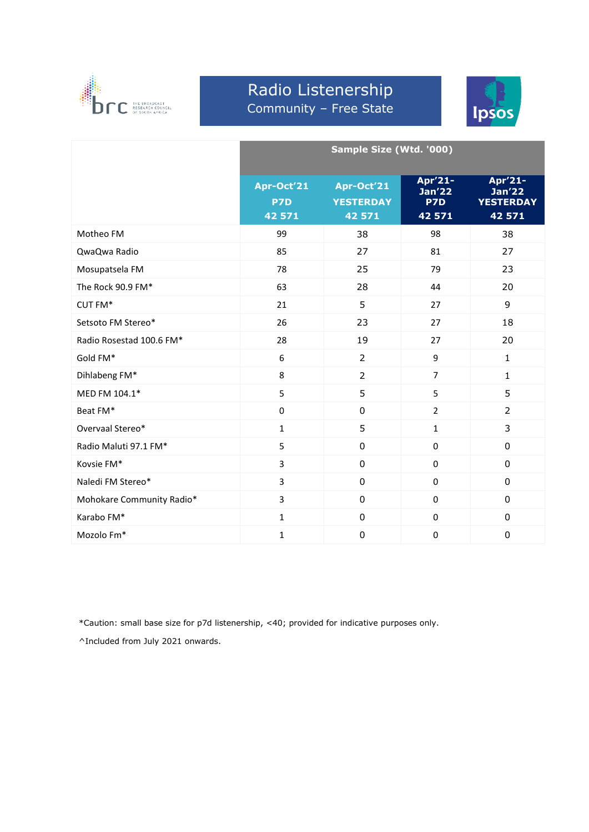

#### Radio Listenership Community – Free State



|                           | Sample Size (Wtd. '000)                 |                                          |                                           |                                                        |
|---------------------------|-----------------------------------------|------------------------------------------|-------------------------------------------|--------------------------------------------------------|
|                           | Apr-Oct <sup>'21</sup><br>P7D<br>42 571 | Apr-Oct'21<br><b>YESTERDAY</b><br>42 571 | Apr'21-<br><b>Jan'22</b><br>P7D<br>42 571 | Apr'21-<br><b>Jan'22</b><br><b>YESTERDAY</b><br>42 571 |
| Motheo FM                 | 99                                      | 38                                       | 98                                        | 38                                                     |
| QwaQwa Radio              | 85                                      | 27                                       | 81                                        | 27                                                     |
| Mosupatsela FM            | 78                                      | 25                                       | 79                                        | 23                                                     |
| The Rock 90.9 FM*         | 63                                      | 28                                       | 44                                        | 20                                                     |
| CUT FM*                   | 21                                      | 5                                        | 27                                        | 9                                                      |
| Setsoto FM Stereo*        | 26                                      | 23                                       | 27                                        | 18                                                     |
| Radio Rosestad 100.6 FM*  | 28                                      | 19                                       | 27                                        | 20                                                     |
| Gold FM*                  | 6                                       | $\overline{2}$                           | 9                                         | $\mathbf{1}$                                           |
| Dihlabeng FM*             | 8                                       | $\overline{2}$                           | $\overline{7}$                            | $\mathbf{1}$                                           |
| MED FM 104.1*             | 5                                       | 5                                        | 5                                         | 5                                                      |
| Beat FM*                  | $\mathsf 0$                             | $\mathbf 0$                              | $\overline{2}$                            | $\overline{2}$                                         |
| Overvaal Stereo*          | $\mathbf{1}$                            | 5                                        | $\mathbf{1}$                              | 3                                                      |
| Radio Maluti 97.1 FM*     | 5                                       | 0                                        | 0                                         | 0                                                      |
| Kovsie FM*                | 3                                       | $\mathbf 0$                              | $\mathbf 0$                               | 0                                                      |
| Naledi FM Stereo*         | 3                                       | 0                                        | 0                                         | 0                                                      |
| Mohokare Community Radio* | 3                                       | 0                                        | $\mathbf{0}$                              | 0                                                      |
| Karabo FM*                | $\mathbf{1}$                            | $\mathbf 0$                              | $\mathbf 0$                               | $\mathbf 0$                                            |
| Mozolo Fm*                | $\mathbf{1}$                            | $\pmb{0}$                                | $\mathbf 0$                               | 0                                                      |

\*Caution: small base size for p7d listenership, <40; provided for indicative purposes only.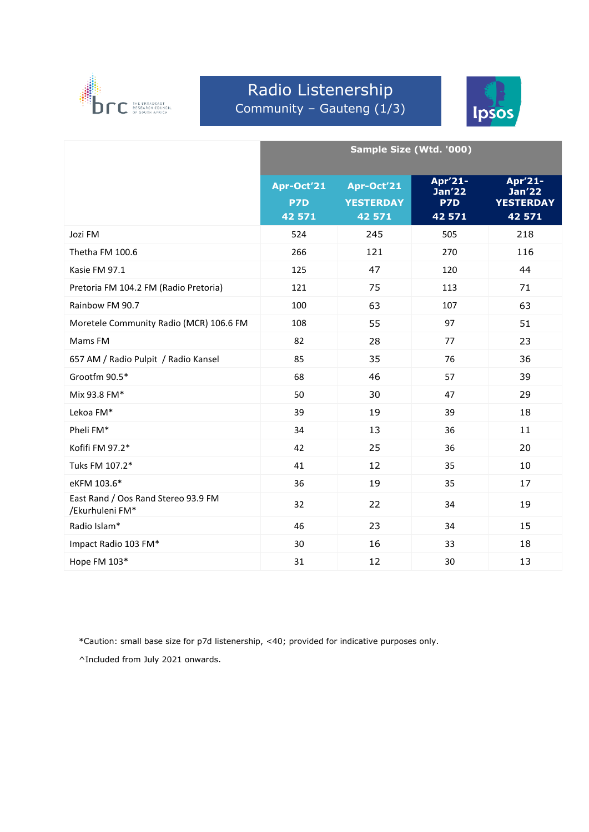

# Radio Listenership Community – Gauteng (1/3)



|                                                        | Sample Size (Wtd. '000)     |                                          |                                           |                                                        |
|--------------------------------------------------------|-----------------------------|------------------------------------------|-------------------------------------------|--------------------------------------------------------|
|                                                        | Apr-Oct'21<br>P7D<br>42 571 | Apr-Oct'21<br><b>YESTERDAY</b><br>42 571 | Apr'21-<br><b>Jan'22</b><br>P7D<br>42 571 | Apr'21-<br><b>Jan'22</b><br><b>YESTERDAY</b><br>42 571 |
| Jozi FM                                                | 524                         | 245                                      | 505                                       | 218                                                    |
| Thetha FM 100.6                                        | 266                         | 121                                      | 270                                       | 116                                                    |
| Kasie FM 97.1                                          | 125                         | 47                                       | 120                                       | 44                                                     |
| Pretoria FM 104.2 FM (Radio Pretoria)                  | 121                         | 75                                       | 113                                       | 71                                                     |
| Rainbow FM 90.7                                        | 100                         | 63                                       | 107                                       | 63                                                     |
| Moretele Community Radio (MCR) 106.6 FM                | 108                         | 55                                       | 97                                        | 51                                                     |
| Mams FM                                                | 82                          | 28                                       | 77                                        | 23                                                     |
| 657 AM / Radio Pulpit / Radio Kansel                   | 85                          | 35                                       | 76                                        | 36                                                     |
| Grootfm 90.5*                                          | 68                          | 46                                       | 57                                        | 39                                                     |
| Mix 93.8 FM*                                           | 50                          | 30                                       | 47                                        | 29                                                     |
| Lekoa FM*                                              | 39                          | 19                                       | 39                                        | 18                                                     |
| Pheli FM*                                              | 34                          | 13                                       | 36                                        | 11                                                     |
| Kofifi FM 97.2*                                        | 42                          | 25                                       | 36                                        | 20                                                     |
| Tuks FM 107.2*                                         | 41                          | 12                                       | 35                                        | 10                                                     |
| eKFM 103.6*                                            | 36                          | 19                                       | 35                                        | 17                                                     |
| East Rand / Oos Rand Stereo 93.9 FM<br>/Ekurhuleni FM* | 32                          | 22                                       | 34                                        | 19                                                     |
| Radio Islam*                                           | 46                          | 23                                       | 34                                        | 15                                                     |
| Impact Radio 103 FM*                                   | 30                          | 16                                       | 33                                        | 18                                                     |
| Hope FM 103*                                           | 31                          | 12                                       | 30                                        | 13                                                     |

\*Caution: small base size for p7d listenership, <40; provided for indicative purposes only.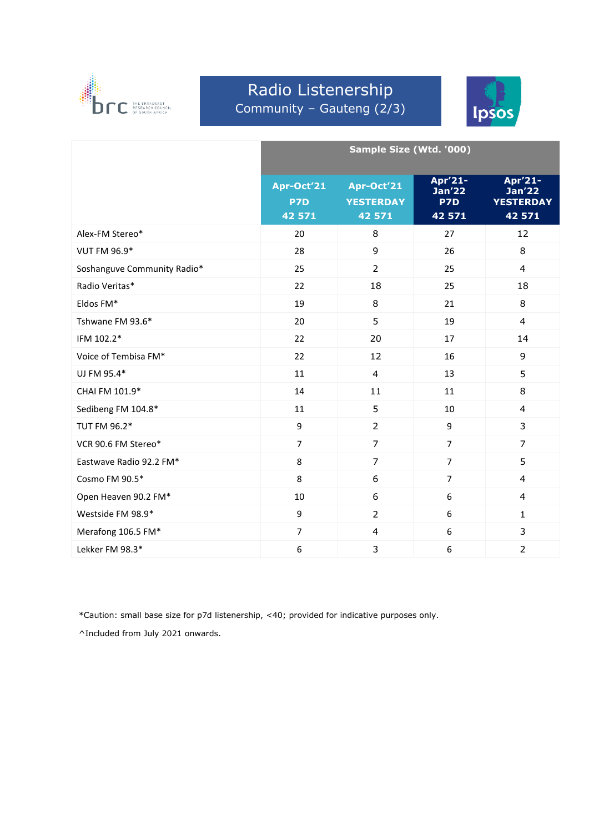

# Radio Listenership Community – Gauteng (2/3)



|                             | Sample Size (Wtd. '000)     |                                          |                                           |                                                        |  |
|-----------------------------|-----------------------------|------------------------------------------|-------------------------------------------|--------------------------------------------------------|--|
|                             | Apr-Oct'21<br>P7D<br>42 571 | Apr-Oct'21<br><b>YESTERDAY</b><br>42 571 | Apr'21-<br><b>Jan'22</b><br>P7D<br>42 571 | Apr'21-<br><b>Jan'22</b><br><b>YESTERDAY</b><br>42 571 |  |
| Alex-FM Stereo*             | 20                          | 8                                        | 27                                        | 12                                                     |  |
| VUT FM 96.9*                | 28                          | 9                                        | 26                                        | 8                                                      |  |
| Soshanguve Community Radio* | 25                          | $\overline{2}$                           | 25                                        | $\overline{4}$                                         |  |
| Radio Veritas*              | 22                          | 18                                       | 25                                        | 18                                                     |  |
| Eldos FM*                   | 19                          | 8                                        | 21                                        | 8                                                      |  |
| Tshwane FM 93.6*            | 20                          | 5                                        | 19                                        | $\overline{4}$                                         |  |
| IFM 102.2*                  | 22                          | 20                                       | 17                                        | 14                                                     |  |
| Voice of Tembisa FM*        | 22                          | 12                                       | 16                                        | 9                                                      |  |
| UJ FM 95.4*                 | 11                          | 4                                        | 13                                        | 5                                                      |  |
| CHAI FM 101.9*              | 14                          | 11                                       | 11                                        | 8                                                      |  |
| Sedibeng FM 104.8*          | 11                          | 5                                        | 10                                        | $\overline{4}$                                         |  |
| TUT FM 96.2*                | 9                           | $\overline{2}$                           | 9                                         | 3                                                      |  |
| VCR 90.6 FM Stereo*         | $\overline{7}$              | $\overline{7}$                           | $\overline{7}$                            | $\overline{7}$                                         |  |
| Eastwave Radio 92.2 FM*     | 8                           | $\overline{7}$                           | $\overline{7}$                            | 5                                                      |  |
| Cosmo FM 90.5*              | 8                           | $\boldsymbol{6}$                         | $\overline{7}$                            | $\overline{4}$                                         |  |
| Open Heaven 90.2 FM*        | 10                          | 6                                        | 6                                         | $\overline{\mathbf{4}}$                                |  |
| Westside FM 98.9*           | 9                           | $\overline{2}$                           | 6                                         | $\mathbf{1}$                                           |  |
| Merafong 106.5 FM*          | $\overline{7}$              | $\overline{4}$                           | 6                                         | 3                                                      |  |
| Lekker FM 98.3*             | 6                           | 3                                        | 6                                         | $\overline{2}$                                         |  |

\*Caution: small base size for p7d listenership, <40; provided for indicative purposes only.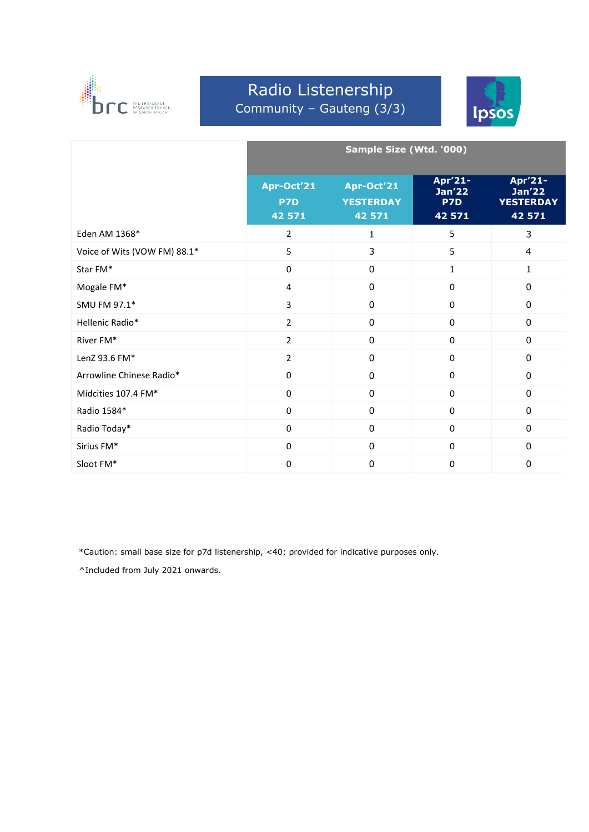

# Radio Listenership Community – Gauteng (3/3)



|                              | Sample Size (Wtd. '000)            |                                          |                                                 |                                                            |
|------------------------------|------------------------------------|------------------------------------------|-------------------------------------------------|------------------------------------------------------------|
|                              | Apr-Oct'21<br><b>P7D</b><br>42 571 | Apr-Oct'21<br><b>YESTERDAY</b><br>42 571 | Apr'21-<br>$\overline{Jan'22}$<br>P7D<br>42 571 | Apr'21-<br>Jan <sub>22</sub><br><b>YESTERDAY</b><br>42 571 |
| Eden AM 1368*                | $\overline{2}$                     | $\mathbf{1}$                             | 5                                               | 3                                                          |
| Voice of Wits (VOW FM) 88.1* | 5                                  | 3                                        | 5                                               | $\overline{4}$                                             |
| Star FM*                     | $\Omega$                           | $\overline{0}$                           | $\mathbf{1}$                                    | $\mathbf{1}$                                               |
| Mogale FM*                   | 4                                  | $\mathbf 0$                              | 0                                               | $\mathbf 0$                                                |
| SMU FM 97.1*                 | 3                                  | $\mathbf 0$                              | 0                                               | $\mathbf 0$                                                |
| Hellenic Radio*              | $\overline{2}$                     | $\mathbf 0$                              | $\Omega$                                        | $\mathbf 0$                                                |
| River FM*                    | $\overline{2}$                     | $\overline{0}$                           | 0                                               | $\overline{0}$                                             |
| LenZ 93.6 FM*                | $\overline{2}$                     | $\mathbf 0$                              | $\Omega$                                        | $\mathbf 0$                                                |
| Arrowline Chinese Radio*     | $\Omega$                           | $\mathbf 0$                              | $\mathbf 0$                                     | $\mathbf 0$                                                |
| Midcities 107.4 FM*          | 0                                  | $\mathbf 0$                              | $\mathbf 0$                                     | $\mathbf 0$                                                |
| Radio 1584*                  | 0                                  | $\Omega$                                 | $\Omega$                                        | $\mathbf{0}$                                               |
| Radio Today*                 | 0                                  | 0                                        | 0                                               | 0                                                          |
| Sirius FM*                   | 0                                  | $\mathbf 0$                              | $\Omega$                                        | $\mathbf 0$                                                |
| Sloot FM*                    | $\Omega$                           | $\mathbf 0$                              | 0                                               | $\mathbf 0$                                                |

\*Caution: small base size for p7d listenership, <40; provided for indicative purposes only.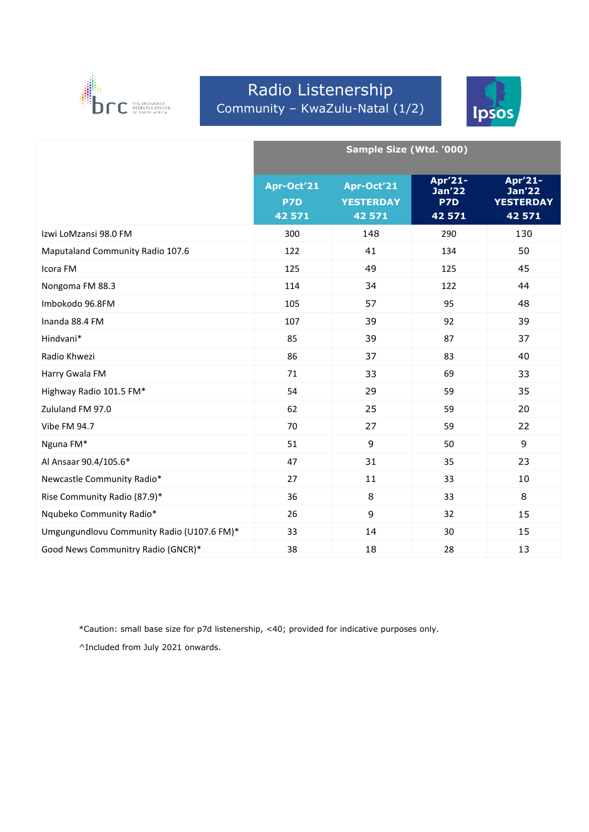

# Radio Listenership Community – KwaZulu-Natal (1/2)



|                                            | Sample Size (Wtd. '000)     |                                          |                                    |                                                        |
|--------------------------------------------|-----------------------------|------------------------------------------|------------------------------------|--------------------------------------------------------|
|                                            | Apr-Oct'21<br>P7D<br>42 571 | Apr-Oct'21<br><b>YESTERDAY</b><br>42 571 | Apr'21-<br>Jan'22<br>P7D<br>42 571 | Apr'21-<br><b>Jan'22</b><br><b>YESTERDAY</b><br>42 571 |
| Izwi LoMzansi 98.0 FM                      | 300                         | 148                                      | 290                                | 130                                                    |
| Maputaland Community Radio 107.6           | 122                         | 41                                       | 134                                | 50                                                     |
| Icora FM                                   | 125                         | 49                                       | 125                                | 45                                                     |
| Nongoma FM 88.3                            | 114                         | 34                                       | 122                                | 44                                                     |
| Imbokodo 96.8FM                            | 105                         | 57                                       | 95                                 | 48                                                     |
| Inanda 88.4 FM                             | 107                         | 39                                       | 92                                 | 39                                                     |
| Hindvani*                                  | 85                          | 39                                       | 87                                 | 37                                                     |
| Radio Khwezi                               | 86                          | 37                                       | 83                                 | 40                                                     |
| Harry Gwala FM                             | 71                          | 33                                       | 69                                 | 33                                                     |
| Highway Radio 101.5 FM*                    | 54                          | 29                                       | 59                                 | 35                                                     |
| Zululand FM 97.0                           | 62                          | 25                                       | 59                                 | 20                                                     |
| Vibe FM 94.7                               | 70                          | 27                                       | 59                                 | 22                                                     |
| Nguna FM*                                  | 51                          | 9                                        | 50                                 | $\overline{9}$                                         |
| Al Ansaar 90.4/105.6*                      | 47                          | 31                                       | 35                                 | 23                                                     |
| Newcastle Community Radio*                 | 27                          | 11                                       | 33                                 | 10                                                     |
| Rise Community Radio (87.9)*               | 36                          | 8                                        | 33                                 | 8                                                      |
| Nqubeko Community Radio*                   | 26                          | 9                                        | 32                                 | 15                                                     |
| Umgungundlovu Community Radio (U107.6 FM)* | 33                          | 14                                       | 30                                 | 15                                                     |
| Good News Communitry Radio (GNCR)*         | 38                          | 18                                       | 28                                 | 13                                                     |

\*Caution: small base size for p7d listenership, <40; provided for indicative purposes only.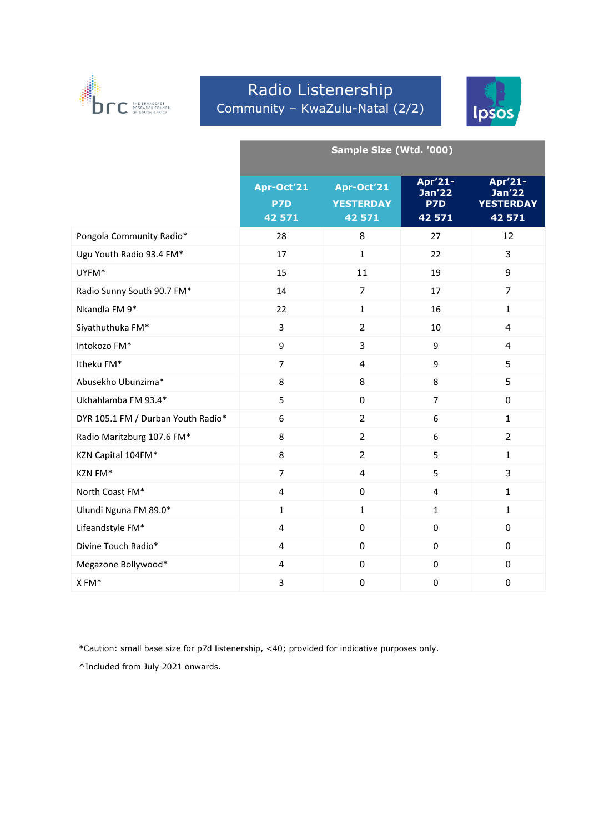

### Radio Listenership Community – KwaZulu-Natal (2/2)



|                                    | Sample Size (Wtd. '000)     |                                          |                                               |                                                 |
|------------------------------------|-----------------------------|------------------------------------------|-----------------------------------------------|-------------------------------------------------|
|                                    | Apr-Oct'21<br>P7D<br>42 571 | Apr-Oct'21<br><b>YESTERDAY</b><br>42 571 | Apr'21-<br>Jan <sub>22</sub><br>P7D<br>42 571 | Apr'21-<br>Jan'22<br><b>YESTERDAY</b><br>42 571 |
| Pongola Community Radio*           | 28                          | 8                                        | 27                                            | 12                                              |
| Ugu Youth Radio 93.4 FM*           | 17                          | $\mathbf{1}$                             | 22                                            | 3                                               |
| UYFM*                              | 15                          | 11                                       | 19                                            | 9                                               |
| Radio Sunny South 90.7 FM*         | 14                          | $\overline{7}$                           | 17                                            | $\overline{7}$                                  |
| Nkandla FM 9*                      | 22                          | $\mathbf{1}$                             | 16                                            | $\mathbf{1}$                                    |
| Siyathuthuka FM*                   | 3                           | $\overline{2}$                           | 10                                            | $\overline{4}$                                  |
| Intokozo FM*                       | 9                           | 3                                        | 9                                             | $\overline{4}$                                  |
| Itheku FM*                         | $\overline{7}$              | $\overline{4}$                           | 9                                             | 5                                               |
| Abusekho Ubunzima*                 | 8                           | 8                                        | 8                                             | 5                                               |
| Ukhahlamba FM 93.4*                | 5                           | $\mathbf 0$                              | $\overline{7}$                                | $\mathsf 0$                                     |
| DYR 105.1 FM / Durban Youth Radio* | 6                           | $\overline{2}$                           | 6                                             | $\mathbf{1}$                                    |
| Radio Maritzburg 107.6 FM*         | 8                           | $\overline{2}$                           | 6                                             | $\overline{2}$                                  |
| KZN Capital 104FM*                 | 8                           | $\overline{2}$                           | 5                                             | $\mathbf{1}$                                    |
| KZN FM*                            | $\overline{7}$              | $\overline{\mathbf{4}}$                  | 5                                             | 3                                               |
| North Coast FM*                    | $\overline{\mathbf{4}}$     | $\pmb{0}$                                | $\overline{4}$                                | $\mathbf{1}$                                    |
| Ulundi Nguna FM 89.0*              | $\mathbf{1}$                | $\mathbf{1}$                             | $\mathbf{1}$                                  | $\mathbf{1}$                                    |
| Lifeandstyle FM*                   | $\overline{\mathbf{4}}$     | $\pmb{0}$                                | $\pmb{0}$                                     | $\pmb{0}$                                       |
| Divine Touch Radio*                | $\overline{4}$              | $\mathbf 0$                              | $\mathbf 0$                                   | $\mathbf 0$                                     |
| Megazone Bollywood*                | $\overline{4}$              | $\mathbf 0$                              | $\mathbf 0$                                   | $\pmb{0}$                                       |
| XFM*                               | 3                           | $\boldsymbol{0}$                         | $\mathbf 0$                                   | $\mathbf 0$                                     |

\*Caution: small base size for p7d listenership, <40; provided for indicative purposes only.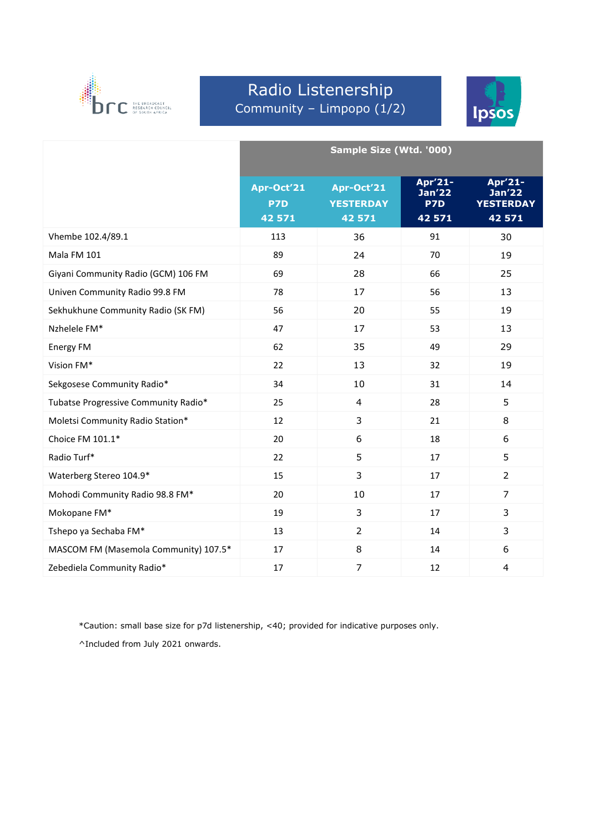

### Radio Listenership Community – Limpopo (1/2)



|                                       | Sample Size (Wtd. '000)     |                                          |                                               |                                                 |
|---------------------------------------|-----------------------------|------------------------------------------|-----------------------------------------------|-------------------------------------------------|
|                                       | Apr-Oct'21<br>P7D<br>42 571 | Apr-Oct'21<br><b>YESTERDAY</b><br>42 571 | Apr'21-<br>Jan <sub>22</sub><br>P7D<br>42 571 | Apr'21-<br>Jan'22<br><b>YESTERDAY</b><br>42 571 |
| Vhembe 102.4/89.1                     | 113                         | 36                                       | 91                                            | 30                                              |
| Mala FM 101                           | 89                          | 24                                       | 70                                            | 19                                              |
| Giyani Community Radio (GCM) 106 FM   | 69                          | 28                                       | 66                                            | 25                                              |
| Univen Community Radio 99.8 FM        | 78                          | 17                                       | 56                                            | 13                                              |
| Sekhukhune Community Radio (SK FM)    | 56                          | 20                                       | 55                                            | 19                                              |
| Nzhelele FM*                          | 47                          | 17                                       | 53                                            | 13                                              |
| Energy FM                             | 62                          | 35                                       | 49                                            | 29                                              |
| Vision FM*                            | 22                          | 13                                       | 32                                            | 19                                              |
| Sekgosese Community Radio*            | 34                          | 10                                       | 31                                            | 14                                              |
| Tubatse Progressive Community Radio*  | 25                          | $\overline{4}$                           | 28                                            | 5                                               |
| Moletsi Community Radio Station*      | 12                          | 3                                        | 21                                            | 8                                               |
| Choice FM 101.1*                      | 20                          | 6                                        | 18                                            | 6                                               |
| Radio Turf*                           | 22                          | 5                                        | 17                                            | 5                                               |
| Waterberg Stereo 104.9*               | 15                          | 3                                        | 17                                            | $\overline{2}$                                  |
| Mohodi Community Radio 98.8 FM*       | 20                          | 10                                       | 17                                            | $\overline{7}$                                  |
| Mokopane FM*                          | 19                          | 3                                        | 17                                            | 3                                               |
| Tshepo ya Sechaba FM*                 | 13                          | $\overline{2}$                           | 14                                            | 3                                               |
| MASCOM FM (Masemola Community) 107.5* | 17                          | 8                                        | 14                                            | 6                                               |
| Zebediela Community Radio*            | 17                          | $\overline{7}$                           | 12                                            | $\overline{4}$                                  |

\*Caution: small base size for p7d listenership, <40; provided for indicative purposes only.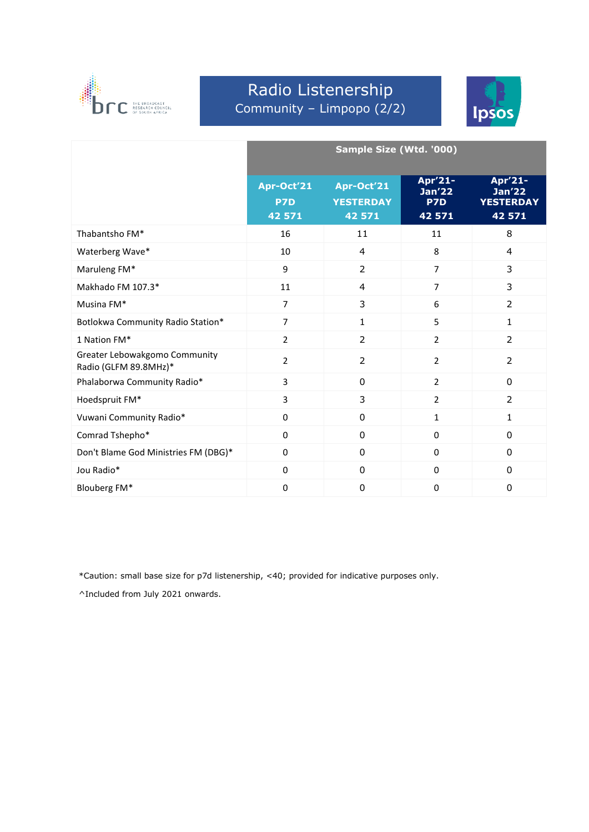

# Radio Listenership Community – Limpopo (2/2)



|                                                        | Sample Size (Wtd. '000)     |                                          |                                    |                                                        |
|--------------------------------------------------------|-----------------------------|------------------------------------------|------------------------------------|--------------------------------------------------------|
|                                                        | Apr-Oct'21<br>P7D<br>42 571 | Apr-Oct'21<br><b>YESTERDAY</b><br>42 571 | Apr'21-<br>Jan'22<br>P7D<br>42 571 | Apr'21-<br><b>Jan'22</b><br><b>YESTERDAY</b><br>42 571 |
| Thabantsho FM*                                         | 16                          | 11                                       | 11                                 | 8                                                      |
| Waterberg Wave*                                        | 10                          | $\overline{4}$                           | 8                                  | 4                                                      |
| Maruleng FM*                                           | 9                           | $\overline{2}$                           | $\overline{7}$                     | 3                                                      |
| Makhado FM 107.3*                                      | 11                          | 4                                        | $\overline{7}$                     | 3                                                      |
| Musina FM*                                             | $\overline{7}$              | 3                                        | 6                                  | $\overline{2}$                                         |
| Botlokwa Community Radio Station*                      | $\overline{7}$              | 1                                        | 5                                  | $\mathbf{1}$                                           |
| 1 Nation FM*                                           | $\overline{2}$              | $\overline{2}$                           | $\overline{2}$                     | 2                                                      |
| Greater Lebowakgomo Community<br>Radio (GLFM 89.8MHz)* | $\overline{2}$              | $\overline{2}$                           | $\overline{2}$                     | $\overline{2}$                                         |
| Phalaborwa Community Radio*                            | 3                           | $\mathbf 0$                              | $\overline{2}$                     | $\mathbf 0$                                            |
| Hoedspruit FM*                                         | $\overline{3}$              | 3                                        | $\overline{2}$                     | $\overline{2}$                                         |
| Vuwani Community Radio*                                | $\mathbf 0$                 | $\Omega$                                 | $\mathbf{1}$                       | $\mathbf{1}$                                           |
| Comrad Tshepho*                                        | $\mathbf 0$                 | 0                                        | $\mathbf 0$                        | 0                                                      |
| Don't Blame God Ministries FM (DBG)*                   | $\Omega$                    | $\Omega$                                 | $\Omega$                           | 0                                                      |
| Jou Radio*                                             | $\Omega$                    | $\Omega$                                 | $\Omega$                           | 0                                                      |
| Blouberg FM*                                           | 0                           | $\mathbf 0$                              | $\mathbf 0$                        | 0                                                      |

\*Caution: small base size for p7d listenership, <40; provided for indicative purposes only.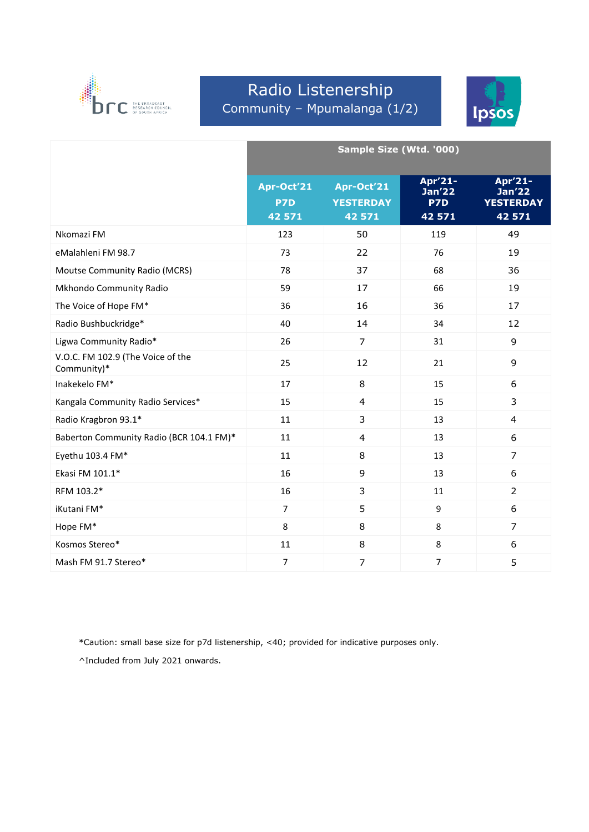

# Radio Listenership Community – Mpumalanga (1/2)



|                                                  | Sample Size (Wtd. '000)     |                                          |                                           |                                                        |
|--------------------------------------------------|-----------------------------|------------------------------------------|-------------------------------------------|--------------------------------------------------------|
|                                                  | Apr-Oct'21<br>P7D<br>42 571 | Apr-Oct'21<br><b>YESTERDAY</b><br>42 571 | Apr'21-<br><b>Jan'22</b><br>P7D<br>42 571 | Apr'21-<br><b>Jan'22</b><br><b>YESTERDAY</b><br>42 571 |
| Nkomazi FM                                       | 123                         | 50                                       | 119                                       | 49                                                     |
| eMalahleni FM 98.7                               | 73                          | 22                                       | 76                                        | 19                                                     |
| Moutse Community Radio (MCRS)                    | 78                          | 37                                       | 68                                        | 36                                                     |
| Mkhondo Community Radio                          | 59                          | 17                                       | 66                                        | 19                                                     |
| The Voice of Hope FM*                            | 36                          | 16                                       | 36                                        | 17                                                     |
| Radio Bushbuckridge*                             | 40                          | 14                                       | 34                                        | 12                                                     |
| Ligwa Community Radio*                           | 26                          | $\overline{7}$                           | 31                                        | 9                                                      |
| V.O.C. FM 102.9 (The Voice of the<br>Community)* | 25                          | 12                                       | 21                                        | 9                                                      |
| Inakekelo FM*                                    | 17                          | 8                                        | 15                                        | 6                                                      |
| Kangala Community Radio Services*                | 15                          | $\overline{4}$                           | 15                                        | 3                                                      |
| Radio Kragbron 93.1*                             | 11                          | 3                                        | 13                                        | 4                                                      |
| Baberton Community Radio (BCR 104.1 FM)*         | 11                          | $\overline{4}$                           | 13                                        | 6                                                      |
| Eyethu 103.4 FM*                                 | 11                          | 8                                        | 13                                        | $\overline{7}$                                         |
| Ekasi FM 101.1*                                  | 16                          | 9                                        | 13                                        | 6                                                      |
| RFM 103.2*                                       | 16                          | 3                                        | 11                                        | $\overline{2}$                                         |
| iKutani FM*                                      | $\overline{7}$              | 5                                        | 9                                         | 6                                                      |
| Hope FM*                                         | 8                           | 8                                        | 8                                         | $\overline{7}$                                         |
| Kosmos Stereo*                                   | 11                          | 8                                        | 8                                         | 6                                                      |
| Mash FM 91.7 Stereo*                             | $\overline{7}$              | $\overline{7}$                           | $\overline{7}$                            | 5                                                      |

\*Caution: small base size for p7d listenership, <40; provided for indicative purposes only.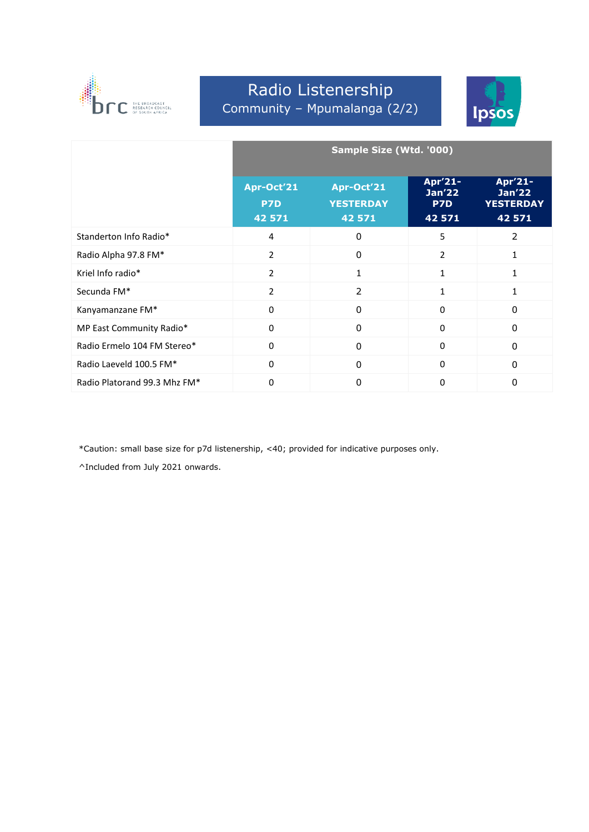

# Radio Listenership Community – Mpumalanga (2/2)



|                              | Sample Size (Wtd. '000)            |                                          |                                           |                                                            |  |
|------------------------------|------------------------------------|------------------------------------------|-------------------------------------------|------------------------------------------------------------|--|
|                              | Apr-Oct'21<br><b>P7D</b><br>42 571 | Apr-Oct'21<br><b>YESTERDAY</b><br>42 571 | Apr'21-<br><b>Jan'22</b><br>P7D<br>42 571 | Apr'21-<br>Jan <sub>22</sub><br><b>YESTERDAY</b><br>42 571 |  |
| Standerton Info Radio*       | 4                                  | $\Omega$                                 | 5                                         | 2                                                          |  |
| Radio Alpha 97.8 FM*         | 2                                  | $\Omega$                                 | $\overline{2}$                            |                                                            |  |
| Kriel Info radio*            | $\overline{2}$                     | 1                                        | 1                                         |                                                            |  |
| Secunda FM*                  | $\overline{2}$                     | $\overline{2}$                           | 1                                         |                                                            |  |
| Kanyamanzane FM*             | $\Omega$                           | $\Omega$                                 | $\Omega$                                  | 0                                                          |  |
| MP East Community Radio*     | 0                                  | 0                                        | $\Omega$                                  | 0                                                          |  |
| Radio Ermelo 104 FM Stereo*  | $\Omega$                           | 0                                        | $\Omega$                                  | 0                                                          |  |
| Radio Laeveld 100.5 FM*      | $\Omega$                           | $\Omega$                                 | $\Omega$                                  | 0                                                          |  |
| Radio Platorand 99.3 Mhz FM* | 0                                  | $\Omega$                                 | $\Omega$                                  | 0                                                          |  |

\*Caution: small base size for p7d listenership, <40; provided for indicative purposes only.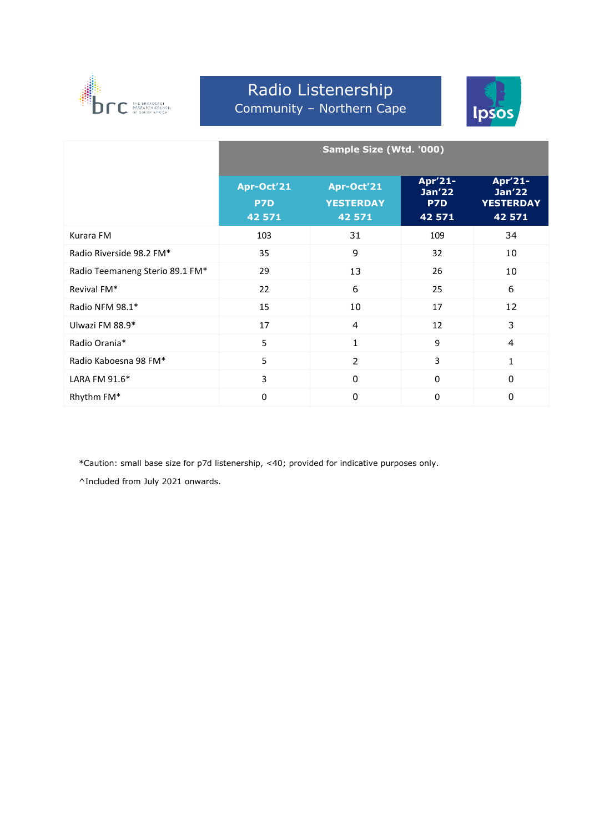

#### Radio Listenership Community – Northern Cape



|                                 | Sample Size (Wtd. '000)            |                                          |                                           |                                                        |
|---------------------------------|------------------------------------|------------------------------------------|-------------------------------------------|--------------------------------------------------------|
|                                 | Apr-Oct'21<br><b>P7D</b><br>42 571 | Apr-Oct'21<br><b>YESTERDAY</b><br>42 571 | Apr'21-<br><b>Jan'22</b><br>P7D<br>42 571 | Apr'21-<br><b>Jan'22</b><br><b>YESTERDAY</b><br>42 571 |
| Kurara FM                       | 103                                | 31                                       | 109                                       | 34                                                     |
| Radio Riverside 98.2 FM*        | 35                                 | 9                                        | 32                                        | 10                                                     |
| Radio Teemaneng Sterio 89.1 FM* | 29                                 | 13                                       | 26                                        | 10                                                     |
| Revival FM*                     | 22                                 | 6                                        | 25                                        | 6                                                      |
| Radio NFM 98.1*                 | 15                                 | 10                                       | 17                                        | 12                                                     |
| Ulwazi FM 88.9*                 | 17                                 | 4                                        | 12                                        | 3                                                      |
| Radio Orania*                   | 5                                  | 1                                        | 9                                         | 4                                                      |
| Radio Kaboesna 98 FM*           | 5                                  | $\overline{2}$                           | 3                                         | 1                                                      |
| LARA FM 91.6*                   | 3                                  | $\mathbf{0}$                             | 0                                         | $\mathbf{0}$                                           |
| Rhythm FM*                      | 0                                  | $\mathbf{0}$                             | 0                                         | $\mathbf{0}$                                           |

\*Caution: small base size for p7d listenership, <40; provided for indicative purposes only.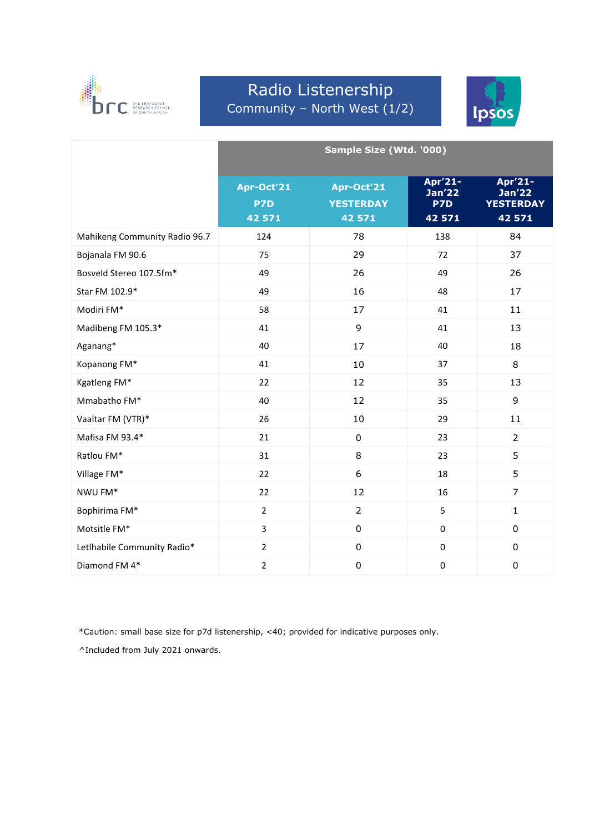

# Radio Listenership Community – North West (1/2)



|                               | Sample Size (Wtd. '000)     |                                          |                                           |                                                 |
|-------------------------------|-----------------------------|------------------------------------------|-------------------------------------------|-------------------------------------------------|
|                               | Apr-Oct'21<br>P7D<br>42 571 | Apr-Oct'21<br><b>YESTERDAY</b><br>42 571 | Apr'21-<br><b>Jan'22</b><br>P7D<br>42 571 | Apr'21-<br>Jan'22<br><b>YESTERDAY</b><br>42 571 |
| Mahikeng Community Radio 96.7 | 124                         | 78                                       | 138                                       | 84                                              |
| Bojanala FM 90.6              | 75                          | 29                                       | 72                                        | 37                                              |
| Bosveld Stereo 107.5fm*       | 49                          | 26                                       | 49                                        | 26                                              |
| Star FM 102.9*                | 49                          | 16                                       | 48                                        | 17                                              |
| Modiri FM*                    | 58                          | 17                                       | 41                                        | 11                                              |
| Madibeng FM 105.3*            | 41                          | 9                                        | 41                                        | 13                                              |
| Aganang*                      | 40                          | 17                                       | 40                                        | 18                                              |
| Kopanong FM*                  | 41                          | 10                                       | 37                                        | 8                                               |
| Kgatleng FM*                  | 22                          | 12                                       | 35                                        | 13                                              |
| Mmabatho FM*                  | 40                          | 12                                       | 35                                        | 9                                               |
| Vaaltar FM (VTR)*             | 26                          | 10                                       | 29                                        | 11                                              |
| Mafisa FM 93.4*               | 21                          | $\mathbf 0$                              | 23                                        | $\overline{2}$                                  |
| Ratlou FM*                    | 31                          | 8                                        | 23                                        | 5                                               |
| Village FM*                   | 22                          | 6                                        | 18                                        | 5                                               |
| NWU FM*                       | 22                          | 12                                       | 16                                        | $\overline{7}$                                  |
| Bophirima FM*                 | $\overline{2}$              | $\overline{2}$                           | 5                                         | $\mathbf{1}$                                    |
| Motsitle FM*                  | 3                           | $\pmb{0}$                                | $\mathbf 0$                               | $\pmb{0}$                                       |
| Letlhabile Community Radio*   | $\overline{2}$              | $\pmb{0}$                                | $\pmb{0}$                                 | $\pmb{0}$                                       |
| Diamond FM 4*                 | $\overline{2}$              | $\pmb{0}$                                | $\pmb{0}$                                 | $\pmb{0}$                                       |

\*Caution: small base size for p7d listenership, <40; provided for indicative purposes only.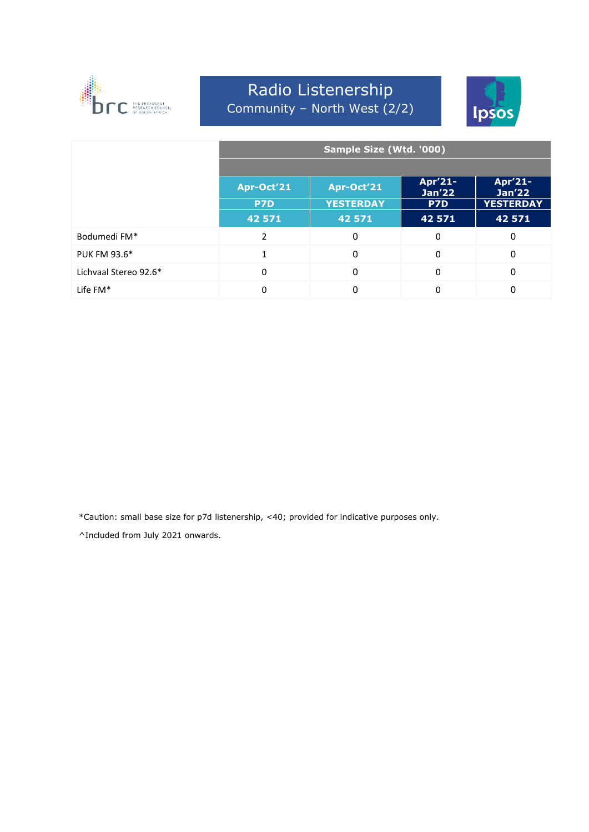

# Radio Listenership Community – North West (2/2)



|                       | Sample Size (Wtd. '000) |                  |                          |                              |
|-----------------------|-------------------------|------------------|--------------------------|------------------------------|
|                       |                         |                  |                          |                              |
|                       | Apr-Oct'21              | Apr-Oct'21       | Apr'21-<br><b>Jan'22</b> | Apr'21-<br>Jan <sub>22</sub> |
|                       | P7D                     | <b>YESTERDAY</b> | P7D                      | <b>YESTERDAY</b>             |
|                       | 42 571                  | 42 571           | 42 571                   | 42 571                       |
| Bodumedi FM*          | 2                       | 0                | $\mathbf 0$              | 0                            |
| <b>PUK FM 93.6*</b>   | $\mathbf{1}$            | $\Omega$         | $\mathbf 0$              | $\Omega$                     |
| Lichvaal Stereo 92.6* | 0                       | $\Omega$         | $\mathbf 0$              | $\Omega$                     |
| Life $FM*$            | 0                       | 0                | $\Omega$                 | 0                            |

\*Caution: small base size for p7d listenership, <40; provided for indicative purposes only.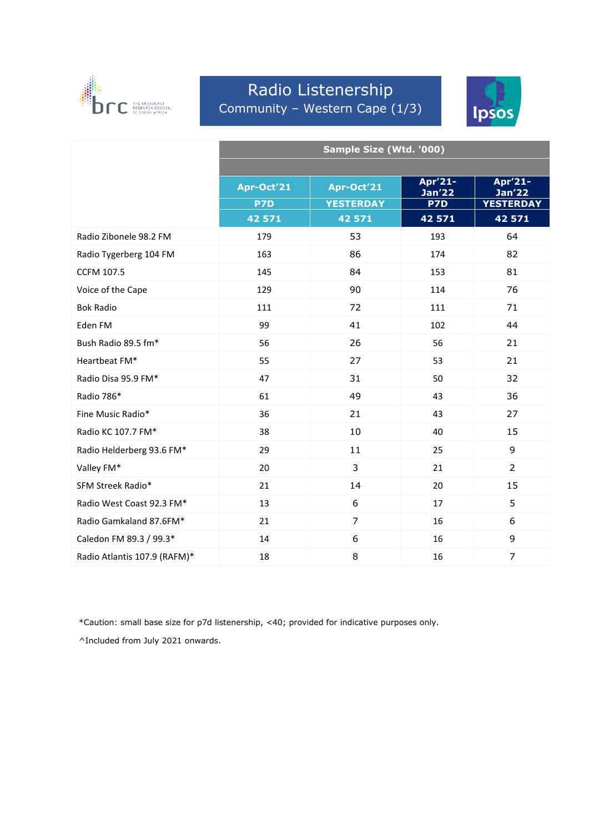

### Radio Listenership Community – Western Cape (1/3)



|                              | Sample Size (Wtd. '000) |                  |                          |                          |  |
|------------------------------|-------------------------|------------------|--------------------------|--------------------------|--|
|                              |                         |                  |                          |                          |  |
|                              | Apr-Oct'21              | Apr-Oct'21       | Apr'21-<br><b>Jan'22</b> | Apr'21-<br><b>Jan'22</b> |  |
|                              | P7D                     | <b>YESTERDAY</b> | P7D                      | <b>YESTERDAY</b>         |  |
|                              | 42 571                  | 42 571           | 42 571                   | 42 571                   |  |
| Radio Zibonele 98.2 FM       | 179                     | 53               | 193                      | 64                       |  |
| Radio Tygerberg 104 FM       | 163                     | 86               | 174                      | 82                       |  |
| <b>CCFM 107.5</b>            | 145                     | 84               | 153                      | 81                       |  |
| Voice of the Cape            | 129                     | 90               | 114                      | 76                       |  |
| <b>Bok Radio</b>             | 111                     | 72               | 111                      | 71                       |  |
| Eden FM                      | 99                      | 41               | 102                      | 44                       |  |
| Bush Radio 89.5 fm*          | 56                      | 26               | 56                       | 21                       |  |
| Heartbeat FM*                | 55                      | 27               | 53                       | 21                       |  |
| Radio Disa 95.9 FM*          | 47                      | 31               | 50                       | 32                       |  |
| Radio 786*                   | 61                      | 49               | 43                       | 36                       |  |
| Fine Music Radio*            | 36                      | 21               | 43                       | 27                       |  |
| Radio KC 107.7 FM*           | 38                      | 10               | 40                       | 15                       |  |
| Radio Helderberg 93.6 FM*    | 29                      | 11               | 25                       | 9                        |  |
| Valley FM*                   | 20                      | 3                | 21                       | $\overline{2}$           |  |
| SFM Streek Radio*            | 21                      | 14               | 20                       | 15                       |  |
| Radio West Coast 92.3 FM*    | 13                      | 6                | 17                       | 5                        |  |
| Radio Gamkaland 87.6FM*      | 21                      | $\overline{7}$   | 16                       | 6                        |  |
| Caledon FM 89.3 / 99.3*      | 14                      | 6                | 16                       | 9                        |  |
| Radio Atlantis 107.9 (RAFM)* | 18                      | 8                | 16                       | $\overline{7}$           |  |

\*Caution: small base size for p7d listenership, <40; provided for indicative purposes only.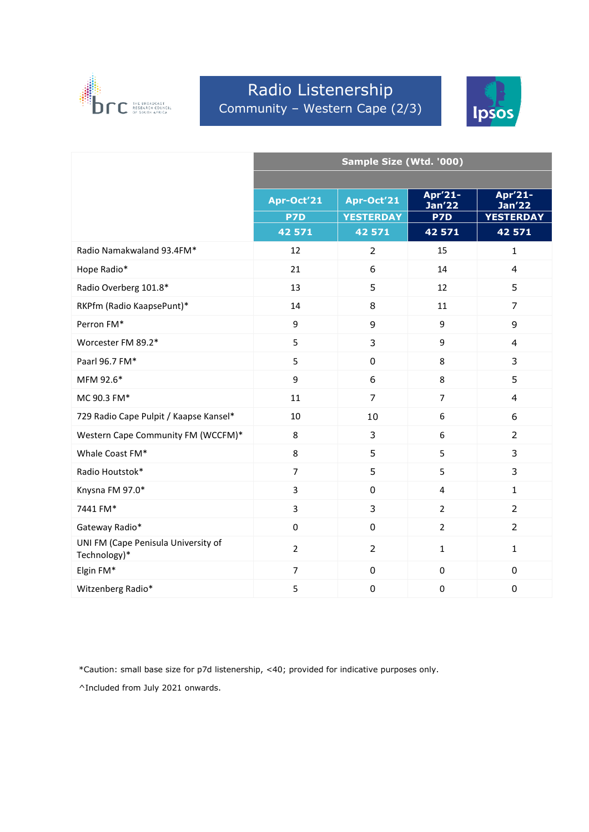

# Radio Listenership Community – Western Cape (2/3)



|                                                     | Sample Size (Wtd. '000) |                  |                          |                          |  |
|-----------------------------------------------------|-------------------------|------------------|--------------------------|--------------------------|--|
|                                                     |                         |                  |                          |                          |  |
|                                                     | Apr-Oct'21              | Apr-Oct'21       | Apr'21-<br><b>Jan'22</b> | Apr'21-<br><b>Jan'22</b> |  |
|                                                     | P7D                     | <b>YESTERDAY</b> | <b>P7D</b>               | <b>YESTERDAY</b>         |  |
|                                                     | 42 571                  | 42 571           | 42 571                   | 42 571                   |  |
| Radio Namakwaland 93.4FM*                           | 12                      | $\overline{2}$   | 15                       | $\mathbf{1}$             |  |
| Hope Radio*                                         | 21                      | 6                | 14                       | $\overline{4}$           |  |
| Radio Overberg 101.8*                               | 13                      | 5                | 12                       | 5                        |  |
| RKPfm (Radio KaapsePunt)*                           | 14                      | 8                | 11                       | 7                        |  |
| Perron FM*                                          | 9                       | 9                | 9                        | 9                        |  |
| Worcester FM 89.2*                                  | 5                       | 3                | 9                        | 4                        |  |
| Paarl 96.7 FM*                                      | 5                       | $\pmb{0}$        | 8                        | 3                        |  |
| MFM 92.6*                                           | 9                       | 6                | 8                        | 5                        |  |
| MC 90.3 FM*                                         | 11                      | $\overline{7}$   | $\overline{7}$           | $\overline{4}$           |  |
| 729 Radio Cape Pulpit / Kaapse Kansel*              | 10                      | 10               | 6                        | 6                        |  |
| Western Cape Community FM (WCCFM)*                  | 8                       | 3                | 6                        | $\overline{2}$           |  |
| Whale Coast FM*                                     | 8                       | 5                | 5                        | 3                        |  |
| Radio Houtstok*                                     | $\overline{7}$          | 5                | 5                        | 3                        |  |
| Knysna FM 97.0*                                     | 3                       | 0                | $\overline{4}$           | $\mathbf{1}$             |  |
| 7441 FM*                                            | 3                       | 3                | $\overline{2}$           | $\overline{2}$           |  |
| Gateway Radio*                                      | 0                       | $\pmb{0}$        | $\overline{2}$           | $\overline{2}$           |  |
| UNI FM (Cape Penisula University of<br>Technology)* | $\overline{2}$          | $\overline{2}$   | $\mathbf{1}$             | $\mathbf{1}$             |  |
| Elgin FM*                                           | $\overline{7}$          | $\mathbf 0$      | $\mathbf 0$              | $\mathbf 0$              |  |
| Witzenberg Radio*                                   | 5                       | $\mathbf 0$      | $\mathbf 0$              | $\mathbf 0$              |  |

\*Caution: small base size for p7d listenership, <40; provided for indicative purposes only.